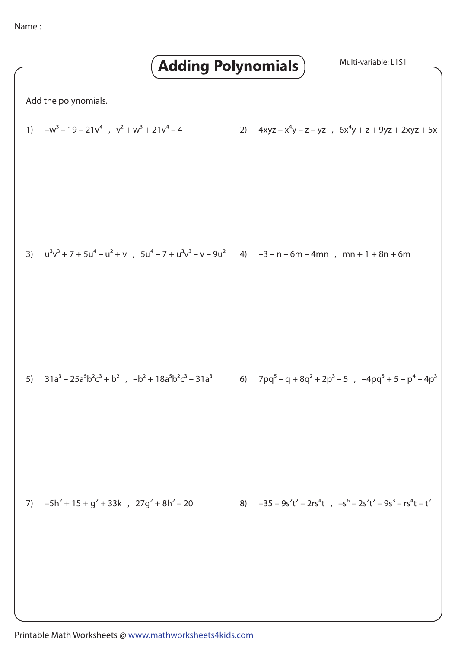